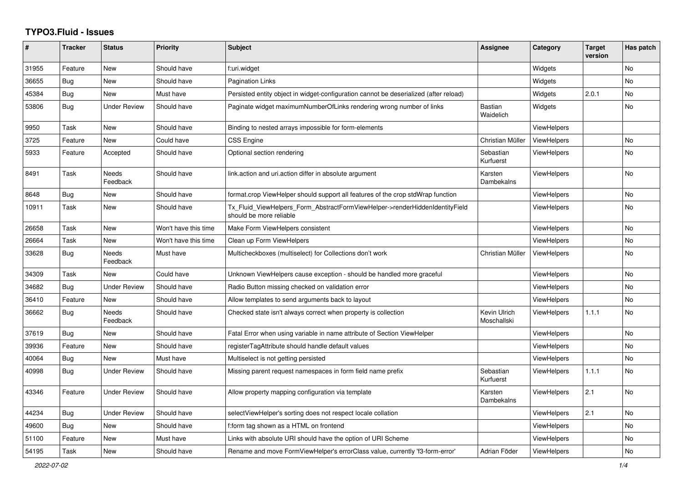## **TYPO3.Fluid - Issues**

| #     | <b>Tracker</b> | <b>Status</b>            | <b>Priority</b>      | <b>Subject</b>                                                                                         | Assignee                    | Category           | <b>Target</b><br>version | Has patch      |
|-------|----------------|--------------------------|----------------------|--------------------------------------------------------------------------------------------------------|-----------------------------|--------------------|--------------------------|----------------|
| 31955 | Feature        | <b>New</b>               | Should have          | f:uri.widget                                                                                           |                             | Widgets            |                          | <b>No</b>      |
| 36655 | Bug            | New                      | Should have          | Pagination Links                                                                                       |                             | Widgets            |                          | <b>No</b>      |
| 45384 | Bug            | <b>New</b>               | Must have            | Persisted entity object in widget-configuration cannot be deserialized (after reload)                  |                             | Widgets            | 2.0.1                    | No.            |
| 53806 | Bug            | <b>Under Review</b>      | Should have          | Paginate widget maximumNumberOfLinks rendering wrong number of links                                   | <b>Bastian</b><br>Waidelich | Widgets            |                          | <b>No</b>      |
| 9950  | Task           | <b>New</b>               | Should have          | Binding to nested arrays impossible for form-elements                                                  |                             | <b>ViewHelpers</b> |                          |                |
| 3725  | Feature        | New                      | Could have           | CSS Engine                                                                                             | Christian Müller            | ViewHelpers        |                          | No             |
| 5933  | Feature        | Accepted                 | Should have          | Optional section rendering                                                                             | Sebastian<br>Kurfuerst      | ViewHelpers        |                          | <b>No</b>      |
| 8491  | Task           | Needs<br>Feedback        | Should have          | link.action and uri.action differ in absolute argument                                                 | Karsten<br>Dambekalns       | <b>ViewHelpers</b> |                          | No             |
| 8648  | Bug            | New                      | Should have          | format.crop ViewHelper should support all features of the crop stdWrap function                        |                             | <b>ViewHelpers</b> |                          | No             |
| 10911 | Task           | New                      | Should have          | Tx Fluid ViewHelpers Form AbstractFormViewHelper->renderHiddenIdentityField<br>should be more reliable |                             | <b>ViewHelpers</b> |                          | No             |
| 26658 | Task           | New                      | Won't have this time | Make Form ViewHelpers consistent                                                                       |                             | <b>ViewHelpers</b> |                          | No             |
| 26664 | Task           | New                      | Won't have this time | Clean up Form ViewHelpers                                                                              |                             | <b>ViewHelpers</b> |                          | No             |
| 33628 | Bug            | Needs<br>Feedback        | Must have            | Multicheckboxes (multiselect) for Collections don't work                                               | Christian Müller            | <b>ViewHelpers</b> |                          | N <sub>o</sub> |
| 34309 | Task           | New                      | Could have           | Unknown ViewHelpers cause exception - should be handled more graceful                                  |                             | <b>ViewHelpers</b> |                          | <b>No</b>      |
| 34682 | Bug            | <b>Under Review</b>      | Should have          | Radio Button missing checked on validation error                                                       |                             | <b>ViewHelpers</b> |                          | <b>No</b>      |
| 36410 | Feature        | New                      | Should have          | Allow templates to send arguments back to layout                                                       |                             | <b>ViewHelpers</b> |                          | No             |
| 36662 | Bug            | <b>Needs</b><br>Feedback | Should have          | Checked state isn't always correct when property is collection                                         | Kevin Ulrich<br>Moschallski | ViewHelpers        | 1.1.1                    | No             |
| 37619 | Bug            | <b>New</b>               | Should have          | Fatal Error when using variable in name attribute of Section ViewHelper                                |                             | <b>ViewHelpers</b> |                          | <b>No</b>      |
| 39936 | Feature        | <b>New</b>               | Should have          | registerTagAttribute should handle default values                                                      |                             | <b>ViewHelpers</b> |                          | <b>No</b>      |
| 40064 | Bug            | <b>New</b>               | Must have            | Multiselect is not getting persisted                                                                   |                             | <b>ViewHelpers</b> |                          | <b>No</b>      |
| 40998 | <b>Bug</b>     | <b>Under Review</b>      | Should have          | Missing parent request namespaces in form field name prefix                                            | Sebastian<br>Kurfuerst      | ViewHelpers        | 1.1.1                    | <b>No</b>      |
| 43346 | Feature        | Under Review             | Should have          | Allow property mapping configuration via template                                                      | Karsten<br>Dambekalns       | <b>ViewHelpers</b> | 2.1                      | <b>No</b>      |
| 44234 | Bug            | Under Review             | Should have          | selectViewHelper's sorting does not respect locale collation                                           |                             | <b>ViewHelpers</b> | 2.1                      | <b>No</b>      |
| 49600 | Bug            | New                      | Should have          | f:form tag shown as a HTML on frontend                                                                 |                             | <b>ViewHelpers</b> |                          | No             |
| 51100 | Feature        | New                      | Must have            | Links with absolute URI should have the option of URI Scheme                                           |                             | <b>ViewHelpers</b> |                          | <b>No</b>      |
| 54195 | Task           | <b>New</b>               | Should have          | Rename and move FormViewHelper's errorClass value, currently 'f3-form-error'                           | Adrian Föder                | <b>ViewHelpers</b> |                          | <b>No</b>      |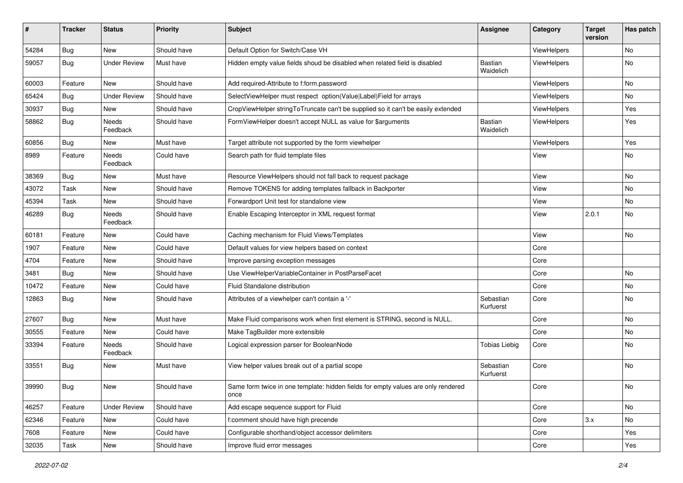| #     | <b>Tracker</b> | <b>Status</b>       | <b>Priority</b> | Subject                                                                                   | <b>Assignee</b>             | Category           | <b>Target</b><br>version | Has patch                    |
|-------|----------------|---------------------|-----------------|-------------------------------------------------------------------------------------------|-----------------------------|--------------------|--------------------------|------------------------------|
| 54284 | Bug            | New                 | Should have     | Default Option for Switch/Case VH                                                         |                             | ViewHelpers        |                          | No                           |
| 59057 | Bug            | <b>Under Review</b> | Must have       | Hidden empty value fields shoud be disabled when related field is disabled                | <b>Bastian</b><br>Waidelich | <b>ViewHelpers</b> |                          | No                           |
| 60003 | Feature        | <b>New</b>          | Should have     | Add required-Attribute to f:form.password                                                 |                             | ViewHelpers        |                          | <b>No</b>                    |
| 65424 | Bug            | <b>Under Review</b> | Should have     | SelectViewHelper must respect option(Value Label)Field for arrays                         |                             | ViewHelpers        |                          | No                           |
| 30937 | Bug            | New                 | Should have     | CropViewHelper stringToTruncate can't be supplied so it can't be easily extended          |                             | ViewHelpers        |                          | Yes                          |
| 58862 | Bug            | Needs<br>Feedback   | Should have     | FormViewHelper doesn't accept NULL as value for \$arguments                               | Bastian<br>Waidelich        | ViewHelpers        |                          | Yes                          |
| 60856 | Bug            | New                 | Must have       | Target attribute not supported by the form viewhelper                                     |                             | ViewHelpers        |                          | Yes                          |
| 8989  | Feature        | Needs<br>Feedback   | Could have      | Search path for fluid template files                                                      |                             | View               |                          | No                           |
| 38369 | Bug            | New                 | Must have       | Resource ViewHelpers should not fall back to request package                              |                             | View               |                          | <b>No</b>                    |
| 43072 | Task           | New                 | Should have     | Remove TOKENS for adding templates fallback in Backporter                                 |                             | View               |                          | No                           |
| 45394 | Task           | New                 | Should have     | Forwardport Unit test for standalone view                                                 |                             | View               |                          | No                           |
| 46289 | Bug            | Needs<br>Feedback   | Should have     | Enable Escaping Interceptor in XML request format                                         |                             | View               | 2.0.1                    | No                           |
| 60181 | Feature        | New                 | Could have      | Caching mechanism for Fluid Views/Templates                                               |                             | View               |                          | No                           |
| 1907  | Feature        | New                 | Could have      | Default values for view helpers based on context                                          |                             | Core               |                          |                              |
| 4704  | Feature        | New                 | Should have     | Improve parsing exception messages                                                        |                             | Core               |                          |                              |
| 3481  | Bug            | New                 | Should have     | Use ViewHelperVariableContainer in PostParseFacet                                         |                             | Core               |                          | No                           |
| 10472 | Feature        | New                 | Could have      | Fluid Standalone distribution                                                             |                             | Core               |                          | No                           |
| 12863 | Bug            | New                 | Should have     | Attributes of a viewhelper can't contain a '-'                                            | Sebastian<br>Kurfuerst      | Core               |                          | No                           |
| 27607 | Bug            | New                 | Must have       | Make Fluid comparisons work when first element is STRING, second is NULL.                 |                             | Core               |                          | <b>No</b>                    |
| 30555 | Feature        | New                 | Could have      | Make TagBuilder more extensible                                                           |                             | Core               |                          | No                           |
| 33394 | Feature        | Needs<br>Feedback   | Should have     | Logical expression parser for BooleanNode                                                 | <b>Tobias Liebig</b>        | Core               |                          | No                           |
| 33551 | <b>Bug</b>     | New                 | Must have       | View helper values break out of a partial scope                                           | Sebastian<br>Kurfuerst      | Core               |                          | <b>No</b>                    |
| 39990 | <b>Bug</b>     | New                 | Should have     | Same form twice in one template: hidden fields for empty values are only rendered<br>once |                             | Core               |                          | $\operatorname{\mathsf{No}}$ |
| 46257 | Feature        | <b>Under Review</b> | Should have     | Add escape sequence support for Fluid                                                     |                             | Core               |                          | No                           |
| 62346 | Feature        | New                 | Could have      | f:comment should have high precende                                                       |                             | Core               | 3.x                      | No                           |
| 7608  | Feature        | New                 | Could have      | Configurable shorthand/object accessor delimiters                                         |                             | Core               |                          | Yes                          |
| 32035 | Task           | New                 | Should have     | Improve fluid error messages                                                              |                             | Core               |                          | Yes                          |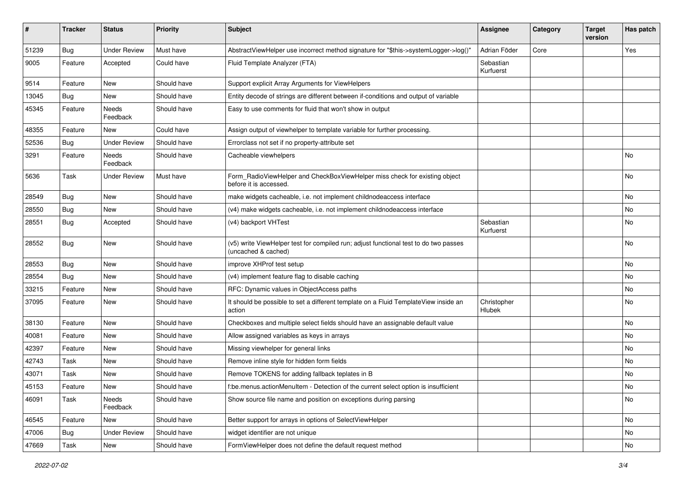| #     | <b>Tracker</b> | <b>Status</b>            | <b>Priority</b> | Subject                                                                                                     | <b>Assignee</b>        | Category | <b>Target</b><br>version | Has patch |
|-------|----------------|--------------------------|-----------------|-------------------------------------------------------------------------------------------------------------|------------------------|----------|--------------------------|-----------|
| 51239 | Bug            | <b>Under Review</b>      | Must have       | AbstractViewHelper use incorrect method signature for "\$this->systemLogger->log()"                         | Adrian Föder           | Core     |                          | Yes       |
| 9005  | Feature        | Accepted                 | Could have      | Fluid Template Analyzer (FTA)                                                                               | Sebastian<br>Kurfuerst |          |                          |           |
| 9514  | Feature        | New                      | Should have     | Support explicit Array Arguments for ViewHelpers                                                            |                        |          |                          |           |
| 13045 | <b>Bug</b>     | New                      | Should have     | Entity decode of strings are different between if-conditions and output of variable                         |                        |          |                          |           |
| 45345 | Feature        | <b>Needs</b><br>Feedback | Should have     | Easy to use comments for fluid that won't show in output                                                    |                        |          |                          |           |
| 48355 | Feature        | New                      | Could have      | Assign output of viewhelper to template variable for further processing.                                    |                        |          |                          |           |
| 52536 | Bug            | <b>Under Review</b>      | Should have     | Errorclass not set if no property-attribute set                                                             |                        |          |                          |           |
| 3291  | Feature        | <b>Needs</b><br>Feedback | Should have     | Cacheable viewhelpers                                                                                       |                        |          |                          | No        |
| 5636  | Task           | <b>Under Review</b>      | Must have       | Form_RadioViewHelper and CheckBoxViewHelper miss check for existing object<br>before it is accessed.        |                        |          |                          | No        |
| 28549 | Bug            | New                      | Should have     | make widgets cacheable, i.e. not implement childnodeaccess interface                                        |                        |          |                          | No        |
| 28550 | <b>Bug</b>     | New                      | Should have     | (v4) make widgets cacheable, i.e. not implement childnodeaccess interface                                   |                        |          |                          | No        |
| 28551 | <b>Bug</b>     | Accepted                 | Should have     | (v4) backport VHTest                                                                                        | Sebastian<br>Kurfuerst |          |                          | No        |
| 28552 | Bug            | New                      | Should have     | (v5) write ViewHelper test for compiled run; adjust functional test to do two passes<br>(uncached & cached) |                        |          |                          | No        |
| 28553 | Bug            | <b>New</b>               | Should have     | improve XHProf test setup                                                                                   |                        |          |                          | No        |
| 28554 | <b>Bug</b>     | New                      | Should have     | (v4) implement feature flag to disable caching                                                              |                        |          |                          | No        |
| 33215 | Feature        | New                      | Should have     | RFC: Dynamic values in ObjectAccess paths                                                                   |                        |          |                          | No        |
| 37095 | Feature        | New                      | Should have     | It should be possible to set a different template on a Fluid TemplateView inside an<br>action               | Christopher<br>Hlubek  |          |                          | No        |
| 38130 | Feature        | New                      | Should have     | Checkboxes and multiple select fields should have an assignable default value                               |                        |          |                          | No        |
| 40081 | Feature        | New                      | Should have     | Allow assigned variables as keys in arrays                                                                  |                        |          |                          | No        |
| 42397 | Feature        | New                      | Should have     | Missing viewhelper for general links                                                                        |                        |          |                          | No        |
| 42743 | Task           | New                      | Should have     | Remove inline style for hidden form fields                                                                  |                        |          |                          | No        |
| 43071 | Task           | New                      | Should have     | Remove TOKENS for adding fallback teplates in B                                                             |                        |          |                          | No        |
| 45153 | Feature        | New                      | Should have     | f:be.menus.actionMenuItem - Detection of the current select option is insufficient                          |                        |          |                          | No        |
| 46091 | Task           | Needs<br>Feedback        | Should have     | Show source file name and position on exceptions during parsing                                             |                        |          |                          | No        |
| 46545 | Feature        | New                      | Should have     | Better support for arrays in options of SelectViewHelper                                                    |                        |          |                          | No        |
| 47006 | Bug            | <b>Under Review</b>      | Should have     | widget identifier are not unique                                                                            |                        |          |                          | No        |
| 47669 | Task           | New                      | Should have     | FormViewHelper does not define the default request method                                                   |                        |          |                          | No        |